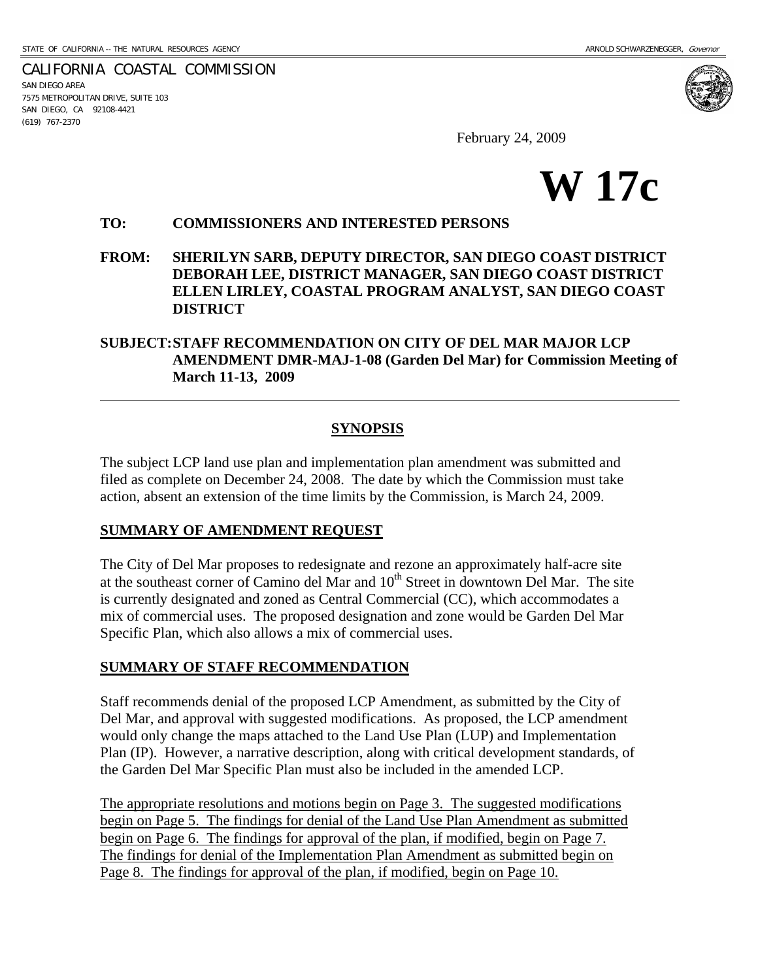CALIFORNIA COASTAL COMMISSION SAN DIEGO AREA 7575 METROPOLITAN DRIVE, SUITE 103 SAN DIEGO, CA 92108-4421 (619) 767-2370

l

February 24, 2009



#### **TO: COMMISSIONERS AND INTERESTED PERSONS**

**FROM: SHERILYN SARB, DEPUTY DIRECTOR, SAN DIEGO COAST DISTRICT DEBORAH LEE, DISTRICT MANAGER, SAN DIEGO COAST DISTRICT ELLEN LIRLEY, COASTAL PROGRAM ANALYST, SAN DIEGO COAST DISTRICT** 

#### **SUBJECT: STAFF RECOMMENDATION ON CITY OF DEL MAR MAJOR LCP AMENDMENT DMR-MAJ-1-08 (Garden Del Mar) for Commission Meeting of March 11-13, 2009**

#### **SYNOPSIS**

The subject LCP land use plan and implementation plan amendment was submitted and filed as complete on December 24, 2008. The date by which the Commission must take action, absent an extension of the time limits by the Commission, is March 24, 2009.

#### **SUMMARY OF AMENDMENT REQUEST**

The City of Del Mar proposes to redesignate and rezone an approximately half-acre site at the southeast corner of Camino del Mar and  $10<sup>th</sup>$  Street in downtown Del Mar. The site is currently designated and zoned as Central Commercial (CC), which accommodates a mix of commercial uses. The proposed designation and zone would be Garden Del Mar Specific Plan, which also allows a mix of commercial uses.

#### **SUMMARY OF STAFF RECOMMENDATION**

Staff recommends denial of the proposed LCP Amendment, as submitted by the City of Del Mar, and approval with suggested modifications. As proposed, the LCP amendment would only change the maps attached to the Land Use Plan (LUP) and Implementation Plan (IP). However, a narrative description, along with critical development standards, of the Garden Del Mar Specific Plan must also be included in the amended LCP.

The appropriate resolutions and motions begin on Page 3. The suggested modifications begin on Page 5. The findings for denial of the Land Use Plan Amendment as submitted begin on Page 6. The findings for approval of the plan, if modified, begin on Page 7. The findings for denial of the Implementation Plan Amendment as submitted begin on Page 8. The findings for approval of the plan, if modified, begin on Page 10.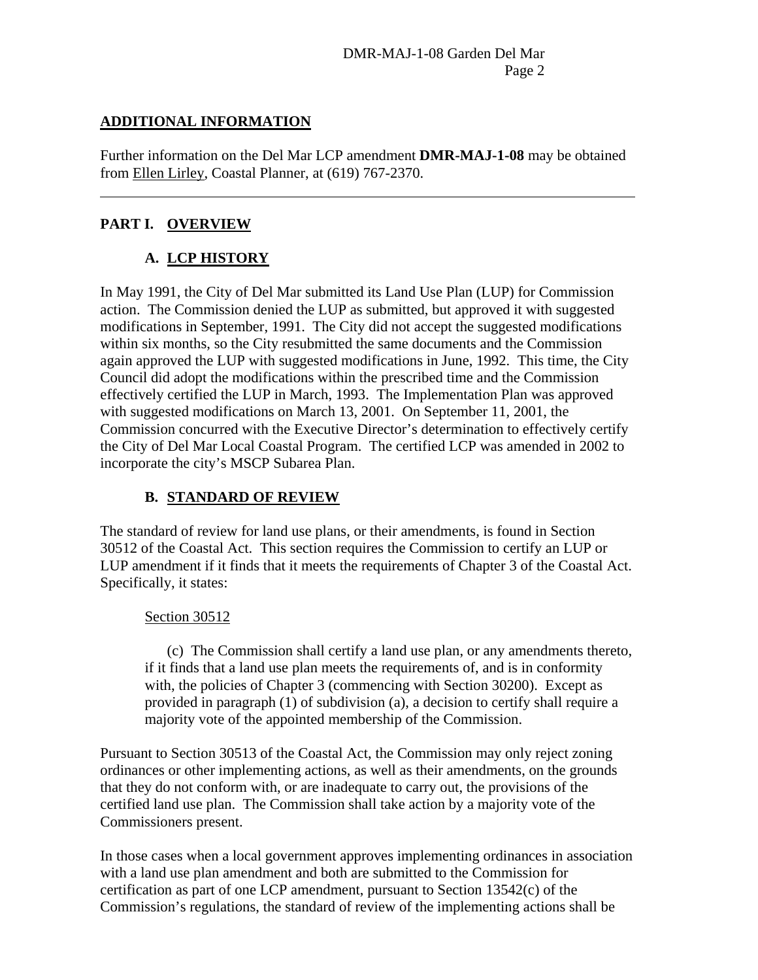### **ADDITIONAL INFORMATION**

Further information on the Del Mar LCP amendment **DMR-MAJ-1-08** may be obtained from Ellen Lirley, Coastal Planner, at (619) 767-2370.

## **PART I. OVERVIEW**

 $\overline{a}$ 

# **A. LCP HISTORY**

In May 1991, the City of Del Mar submitted its Land Use Plan (LUP) for Commission action. The Commission denied the LUP as submitted, but approved it with suggested modifications in September, 1991. The City did not accept the suggested modifications within six months, so the City resubmitted the same documents and the Commission again approved the LUP with suggested modifications in June, 1992. This time, the City Council did adopt the modifications within the prescribed time and the Commission effectively certified the LUP in March, 1993. The Implementation Plan was approved with suggested modifications on March 13, 2001. On September 11, 2001, the Commission concurred with the Executive Director's determination to effectively certify the City of Del Mar Local Coastal Program. The certified LCP was amended in 2002 to incorporate the city's MSCP Subarea Plan.

## **B. STANDARD OF REVIEW**

The standard of review for land use plans, or their amendments, is found in Section 30512 of the Coastal Act. This section requires the Commission to certify an LUP or LUP amendment if it finds that it meets the requirements of Chapter 3 of the Coastal Act. Specifically, it states:

### Section 30512

(c) The Commission shall certify a land use plan, or any amendments thereto, if it finds that a land use plan meets the requirements of, and is in conformity with, the policies of Chapter 3 (commencing with Section 30200). Except as provided in paragraph (1) of subdivision (a), a decision to certify shall require a majority vote of the appointed membership of the Commission.

Pursuant to Section 30513 of the Coastal Act, the Commission may only reject zoning ordinances or other implementing actions, as well as their amendments, on the grounds that they do not conform with, or are inadequate to carry out, the provisions of the certified land use plan. The Commission shall take action by a majority vote of the Commissioners present.

In those cases when a local government approves implementing ordinances in association with a land use plan amendment and both are submitted to the Commission for certification as part of one LCP amendment, pursuant to Section 13542(c) of the Commission's regulations, the standard of review of the implementing actions shall be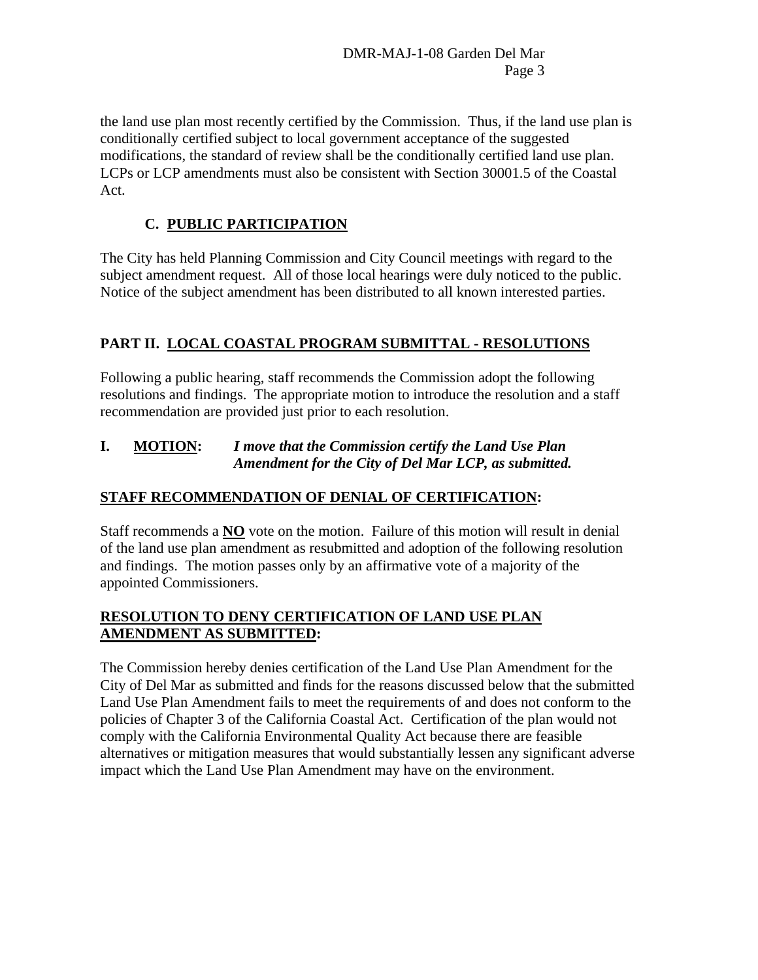the land use plan most recently certified by the Commission. Thus, if the land use plan is conditionally certified subject to local government acceptance of the suggested modifications, the standard of review shall be the conditionally certified land use plan. LCPs or LCP amendments must also be consistent with Section 30001.5 of the Coastal Act.

# **C. PUBLIC PARTICIPATION**

The City has held Planning Commission and City Council meetings with regard to the subject amendment request. All of those local hearings were duly noticed to the public. Notice of the subject amendment has been distributed to all known interested parties.

## **PART II. LOCAL COASTAL PROGRAM SUBMITTAL - RESOLUTIONS**

Following a public hearing, staff recommends the Commission adopt the following resolutions and findings. The appropriate motion to introduce the resolution and a staff recommendation are provided just prior to each resolution.

### **I. MOTION:** *I move that the Commission certify the Land Use Plan Amendment for the City of Del Mar LCP, as submitted.*

## **STAFF RECOMMENDATION OF DENIAL OF CERTIFICATION:**

Staff recommends a **NO** vote on the motion. Failure of this motion will result in denial of the land use plan amendment as resubmitted and adoption of the following resolution and findings. The motion passes only by an affirmative vote of a majority of the appointed Commissioners.

### **RESOLUTION TO DENY CERTIFICATION OF LAND USE PLAN AMENDMENT AS SUBMITTED:**

The Commission hereby denies certification of the Land Use Plan Amendment for the City of Del Mar as submitted and finds for the reasons discussed below that the submitted Land Use Plan Amendment fails to meet the requirements of and does not conform to the policies of Chapter 3 of the California Coastal Act. Certification of the plan would not comply with the California Environmental Quality Act because there are feasible alternatives or mitigation measures that would substantially lessen any significant adverse impact which the Land Use Plan Amendment may have on the environment.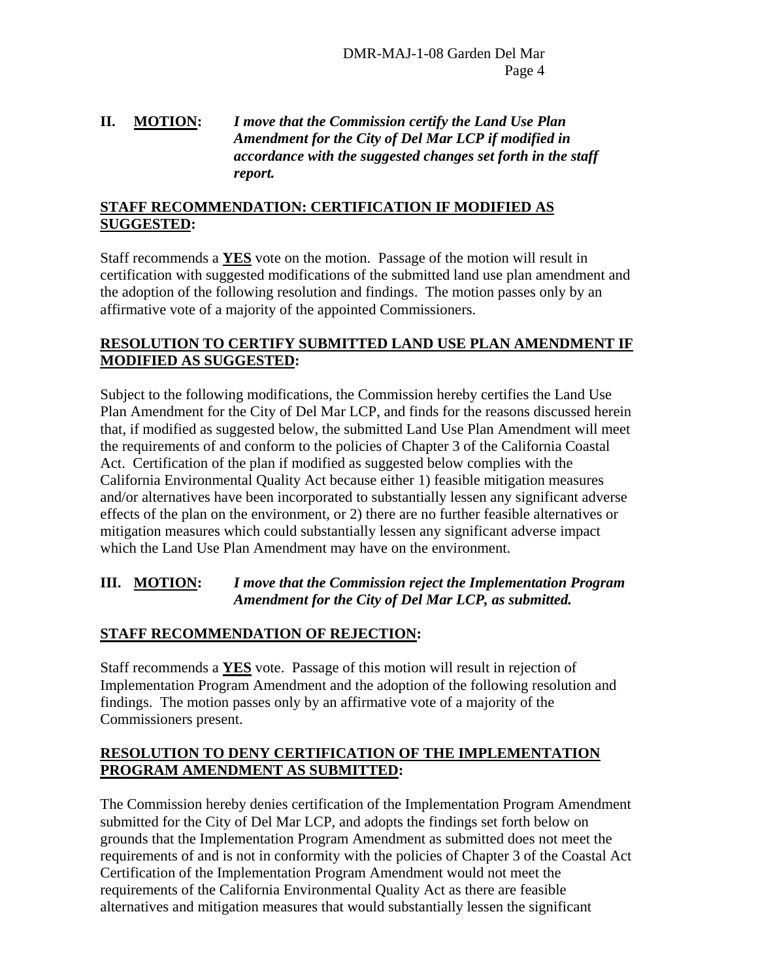### **II. MOTION:** *I move that the Commission certify the Land Use Plan Amendment for the City of Del Mar LCP if modified in accordance with the suggested changes set forth in the staff report.*

#### **STAFF RECOMMENDATION: CERTIFICATION IF MODIFIED AS SUGGESTED:**

Staff recommends a **YES** vote on the motion. Passage of the motion will result in certification with suggested modifications of the submitted land use plan amendment and the adoption of the following resolution and findings. The motion passes only by an affirmative vote of a majority of the appointed Commissioners.

#### **RESOLUTION TO CERTIFY SUBMITTED LAND USE PLAN AMENDMENT IF MODIFIED AS SUGGESTED:**

Subject to the following modifications, the Commission hereby certifies the Land Use Plan Amendment for the City of Del Mar LCP, and finds for the reasons discussed herein that, if modified as suggested below, the submitted Land Use Plan Amendment will meet the requirements of and conform to the policies of Chapter 3 of the California Coastal Act. Certification of the plan if modified as suggested below complies with the California Environmental Quality Act because either 1) feasible mitigation measures and/or alternatives have been incorporated to substantially lessen any significant adverse effects of the plan on the environment, or 2) there are no further feasible alternatives or mitigation measures which could substantially lessen any significant adverse impact which the Land Use Plan Amendment may have on the environment.

### **III. MOTION:** *I move that the Commission reject the Implementation Program*  *Amendment for the City of Del Mar LCP, as submitted.*

### **STAFF RECOMMENDATION OF REJECTION:**

Staff recommends a **YES** vote. Passage of this motion will result in rejection of Implementation Program Amendment and the adoption of the following resolution and findings. The motion passes only by an affirmative vote of a majority of the Commissioners present.

### **RESOLUTION TO DENY CERTIFICATION OF THE IMPLEMENTATION PROGRAM AMENDMENT AS SUBMITTED:**

The Commission hereby denies certification of the Implementation Program Amendment submitted for the City of Del Mar LCP, and adopts the findings set forth below on grounds that the Implementation Program Amendment as submitted does not meet the requirements of and is not in conformity with the policies of Chapter 3 of the Coastal Act Certification of the Implementation Program Amendment would not meet the requirements of the California Environmental Quality Act as there are feasible alternatives and mitigation measures that would substantially lessen the significant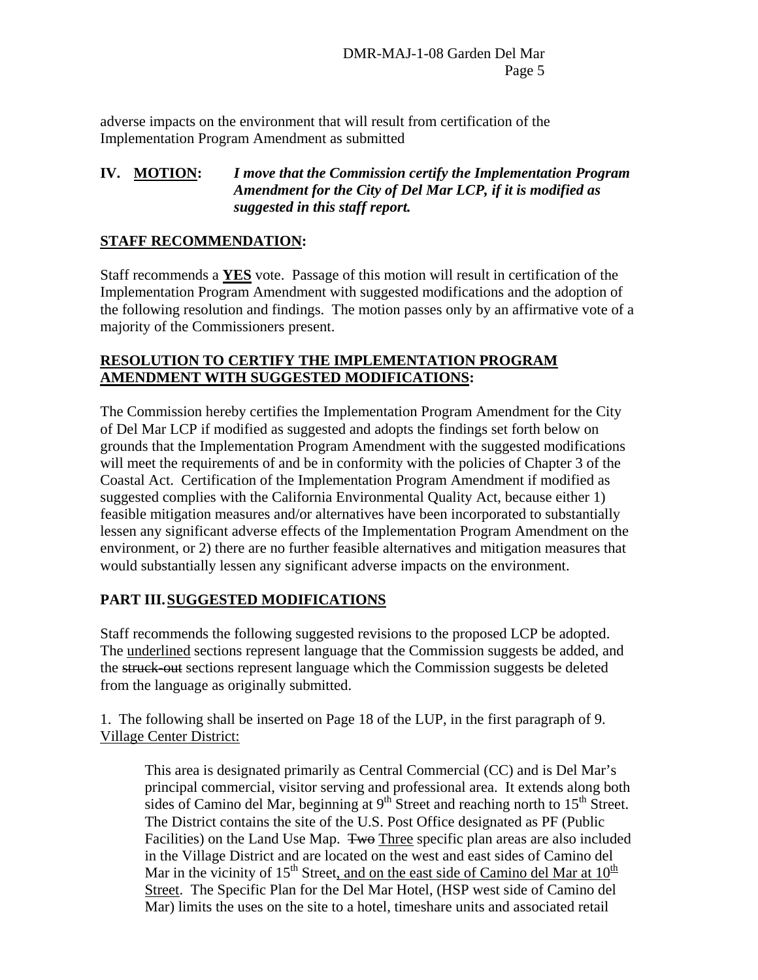adverse impacts on the environment that will result from certification of the Implementation Program Amendment as submitted

### **IV. MOTION:** *I move that the Commission certify the Implementation Program Amendment for the City of Del Mar LCP, if it is modified as suggested in this staff report.*

### **STAFF RECOMMENDATION:**

Staff recommends a **YES** vote. Passage of this motion will result in certification of the Implementation Program Amendment with suggested modifications and the adoption of the following resolution and findings. The motion passes only by an affirmative vote of a majority of the Commissioners present.

### **RESOLUTION TO CERTIFY THE IMPLEMENTATION PROGRAM AMENDMENT WITH SUGGESTED MODIFICATIONS:**

The Commission hereby certifies the Implementation Program Amendment for the City of Del Mar LCP if modified as suggested and adopts the findings set forth below on grounds that the Implementation Program Amendment with the suggested modifications will meet the requirements of and be in conformity with the policies of Chapter 3 of the Coastal Act. Certification of the Implementation Program Amendment if modified as suggested complies with the California Environmental Quality Act, because either 1) feasible mitigation measures and/or alternatives have been incorporated to substantially lessen any significant adverse effects of the Implementation Program Amendment on the environment, or 2) there are no further feasible alternatives and mitigation measures that would substantially lessen any significant adverse impacts on the environment.

## **PART III. SUGGESTED MODIFICATIONS**

Staff recommends the following suggested revisions to the proposed LCP be adopted. The underlined sections represent language that the Commission suggests be added, and the struck-out sections represent language which the Commission suggests be deleted from the language as originally submitted.

1. The following shall be inserted on Page 18 of the LUP, in the first paragraph of 9. Village Center District:

This area is designated primarily as Central Commercial (CC) and is Del Mar's principal commercial, visitor serving and professional area. It extends along both sides of Camino del Mar, beginning at  $9<sup>th</sup>$  Street and reaching north to  $15<sup>th</sup>$  Street. The District contains the site of the U.S. Post Office designated as PF (Public Facilities) on the Land Use Map. Two Three specific plan areas are also included in the Village District and are located on the west and east sides of Camino del Mar in the vicinity of 15<sup>th</sup> Street, and on the east side of Camino del Mar at  $10^{\frac{h}{n}}$ Street. The Specific Plan for the Del Mar Hotel, (HSP west side of Camino del Mar) limits the uses on the site to a hotel, timeshare units and associated retail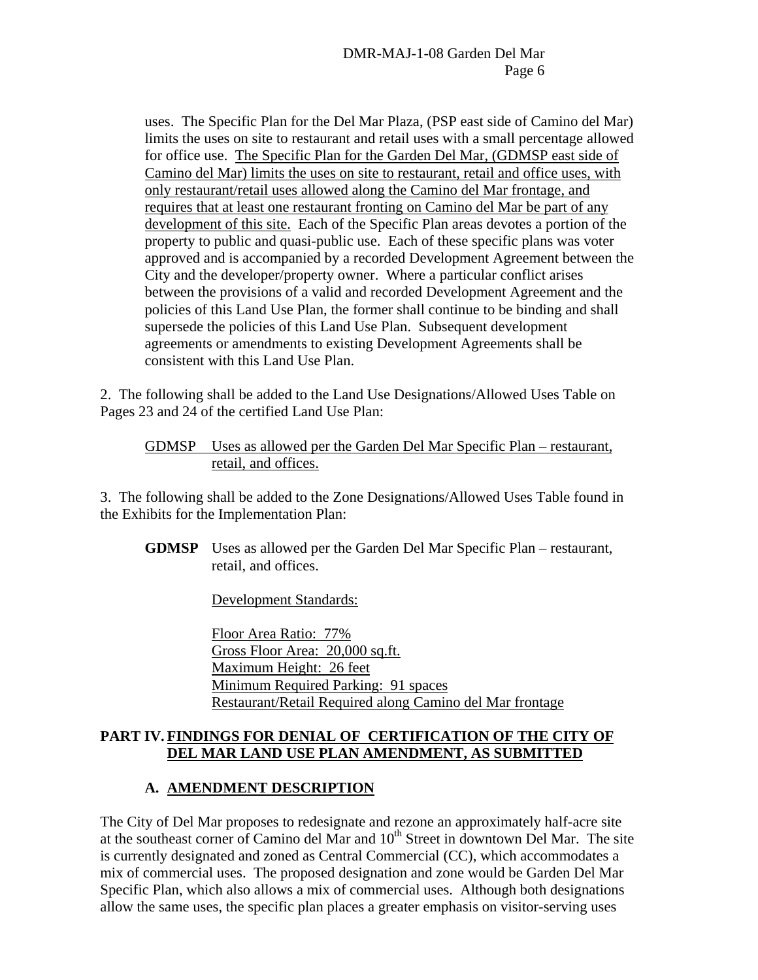uses. The Specific Plan for the Del Mar Plaza, (PSP east side of Camino del Mar) limits the uses on site to restaurant and retail uses with a small percentage allowed for office use. The Specific Plan for the Garden Del Mar, (GDMSP east side of Camino del Mar) limits the uses on site to restaurant, retail and office uses, with only restaurant/retail uses allowed along the Camino del Mar frontage, and requires that at least one restaurant fronting on Camino del Mar be part of any development of this site. Each of the Specific Plan areas devotes a portion of the property to public and quasi-public use. Each of these specific plans was voter approved and is accompanied by a recorded Development Agreement between the City and the developer/property owner. Where a particular conflict arises between the provisions of a valid and recorded Development Agreement and the policies of this Land Use Plan, the former shall continue to be binding and shall supersede the policies of this Land Use Plan. Subsequent development agreements or amendments to existing Development Agreements shall be consistent with this Land Use Plan.

2. The following shall be added to the Land Use Designations/Allowed Uses Table on Pages 23 and 24 of the certified Land Use Plan:

#### GDMSP Uses as allowed per the Garden Del Mar Specific Plan – restaurant, retail, and offices.

3. The following shall be added to the Zone Designations/Allowed Uses Table found in the Exhibits for the Implementation Plan:

**GDMSP** Uses as allowed per the Garden Del Mar Specific Plan – restaurant, retail, and offices.

Development Standards:

Floor Area Ratio: 77% Gross Floor Area: 20,000 sq.ft. Maximum Height: 26 feet Minimum Required Parking: 91 spaces Restaurant/Retail Required along Camino del Mar frontage

#### **PART IV. FINDINGS FOR DENIAL OF CERTIFICATION OF THE CITY OF DEL MAR LAND USE PLAN AMENDMENT, AS SUBMITTED**

### **A. AMENDMENT DESCRIPTION**

The City of Del Mar proposes to redesignate and rezone an approximately half-acre site at the southeast corner of Camino del Mar and  $10<sup>th</sup>$  Street in downtown Del Mar. The site is currently designated and zoned as Central Commercial (CC), which accommodates a mix of commercial uses. The proposed designation and zone would be Garden Del Mar Specific Plan, which also allows a mix of commercial uses. Although both designations allow the same uses, the specific plan places a greater emphasis on visitor-serving uses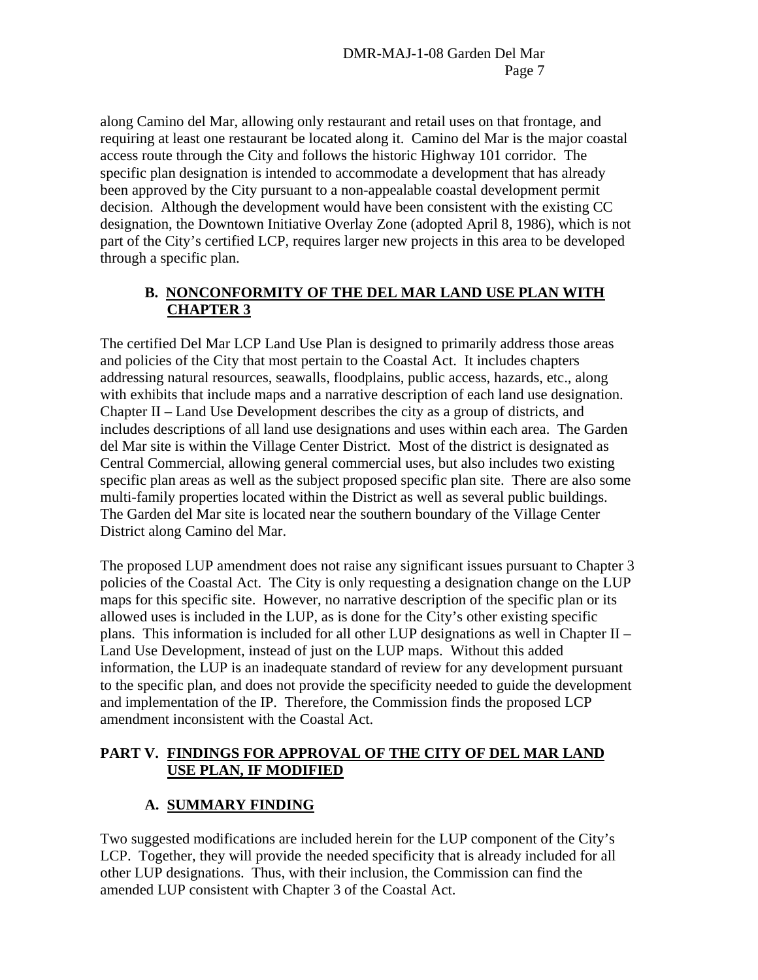along Camino del Mar, allowing only restaurant and retail uses on that frontage, and requiring at least one restaurant be located along it. Camino del Mar is the major coastal access route through the City and follows the historic Highway 101 corridor. The specific plan designation is intended to accommodate a development that has already been approved by the City pursuant to a non-appealable coastal development permit decision. Although the development would have been consistent with the existing CC designation, the Downtown Initiative Overlay Zone (adopted April 8, 1986), which is not part of the City's certified LCP, requires larger new projects in this area to be developed through a specific plan.

## **B. NONCONFORMITY OF THE DEL MAR LAND USE PLAN WITH CHAPTER 3**

The certified Del Mar LCP Land Use Plan is designed to primarily address those areas and policies of the City that most pertain to the Coastal Act. It includes chapters addressing natural resources, seawalls, floodplains, public access, hazards, etc., along with exhibits that include maps and a narrative description of each land use designation. Chapter II – Land Use Development describes the city as a group of districts, and includes descriptions of all land use designations and uses within each area. The Garden del Mar site is within the Village Center District. Most of the district is designated as Central Commercial, allowing general commercial uses, but also includes two existing specific plan areas as well as the subject proposed specific plan site. There are also some multi-family properties located within the District as well as several public buildings. The Garden del Mar site is located near the southern boundary of the Village Center District along Camino del Mar.

The proposed LUP amendment does not raise any significant issues pursuant to Chapter 3 policies of the Coastal Act. The City is only requesting a designation change on the LUP maps for this specific site. However, no narrative description of the specific plan or its allowed uses is included in the LUP, as is done for the City's other existing specific plans. This information is included for all other LUP designations as well in Chapter II – Land Use Development, instead of just on the LUP maps. Without this added information, the LUP is an inadequate standard of review for any development pursuant to the specific plan, and does not provide the specificity needed to guide the development and implementation of the IP. Therefore, the Commission finds the proposed LCP amendment inconsistent with the Coastal Act.

### **PART V. FINDINGS FOR APPROVAL OF THE CITY OF DEL MAR LAND USE PLAN, IF MODIFIED**

# **A. SUMMARY FINDING**

Two suggested modifications are included herein for the LUP component of the City's LCP. Together, they will provide the needed specificity that is already included for all other LUP designations. Thus, with their inclusion, the Commission can find the amended LUP consistent with Chapter 3 of the Coastal Act.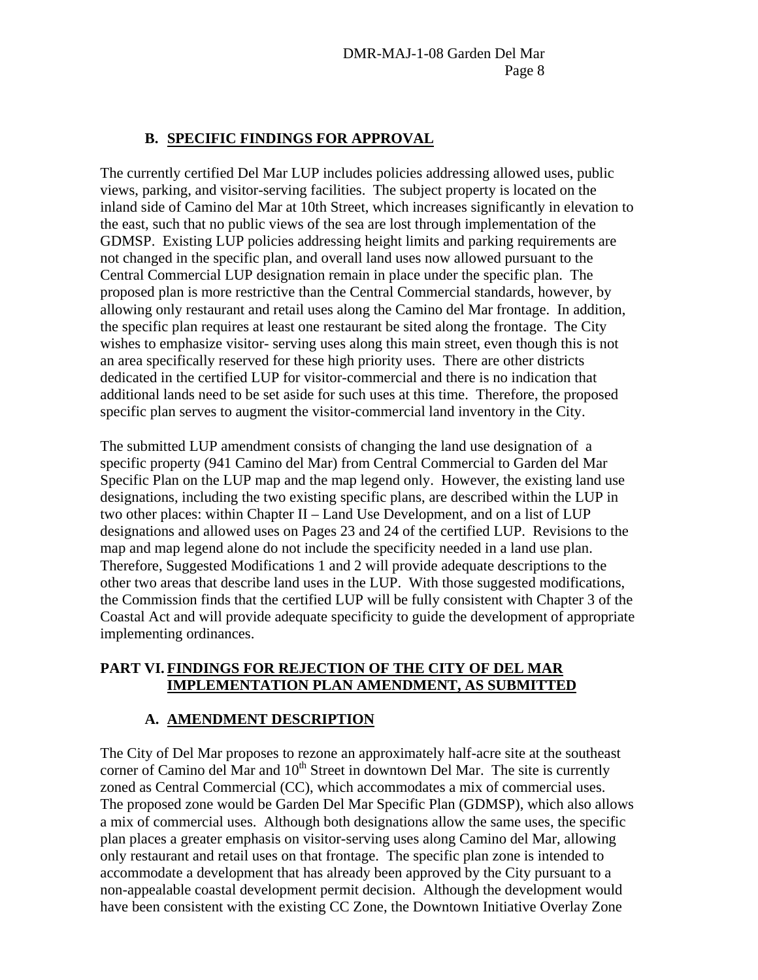### **B. SPECIFIC FINDINGS FOR APPROVAL**

The currently certified Del Mar LUP includes policies addressing allowed uses, public views, parking, and visitor-serving facilities. The subject property is located on the inland side of Camino del Mar at 10th Street, which increases significantly in elevation to the east, such that no public views of the sea are lost through implementation of the GDMSP. Existing LUP policies addressing height limits and parking requirements are not changed in the specific plan, and overall land uses now allowed pursuant to the Central Commercial LUP designation remain in place under the specific plan. The proposed plan is more restrictive than the Central Commercial standards, however, by allowing only restaurant and retail uses along the Camino del Mar frontage. In addition, the specific plan requires at least one restaurant be sited along the frontage. The City wishes to emphasize visitor- serving uses along this main street, even though this is not an area specifically reserved for these high priority uses. There are other districts dedicated in the certified LUP for visitor-commercial and there is no indication that additional lands need to be set aside for such uses at this time. Therefore, the proposed specific plan serves to augment the visitor-commercial land inventory in the City.

The submitted LUP amendment consists of changing the land use designation of a specific property (941 Camino del Mar) from Central Commercial to Garden del Mar Specific Plan on the LUP map and the map legend only. However, the existing land use designations, including the two existing specific plans, are described within the LUP in two other places: within Chapter II – Land Use Development, and on a list of LUP designations and allowed uses on Pages 23 and 24 of the certified LUP. Revisions to the map and map legend alone do not include the specificity needed in a land use plan. Therefore, Suggested Modifications 1 and 2 will provide adequate descriptions to the other two areas that describe land uses in the LUP. With those suggested modifications, the Commission finds that the certified LUP will be fully consistent with Chapter 3 of the Coastal Act and will provide adequate specificity to guide the development of appropriate implementing ordinances.

### **PART VI. FINDINGS FOR REJECTION OF THE CITY OF DEL MAR IMPLEMENTATION PLAN AMENDMENT, AS SUBMITTED**

### **A. AMENDMENT DESCRIPTION**

The City of Del Mar proposes to rezone an approximately half-acre site at the southeast corner of Camino del Mar and  $10<sup>th</sup>$  Street in downtown Del Mar. The site is currently zoned as Central Commercial (CC), which accommodates a mix of commercial uses. The proposed zone would be Garden Del Mar Specific Plan (GDMSP), which also allows a mix of commercial uses. Although both designations allow the same uses, the specific plan places a greater emphasis on visitor-serving uses along Camino del Mar, allowing only restaurant and retail uses on that frontage. The specific plan zone is intended to accommodate a development that has already been approved by the City pursuant to a non-appealable coastal development permit decision. Although the development would have been consistent with the existing CC Zone, the Downtown Initiative Overlay Zone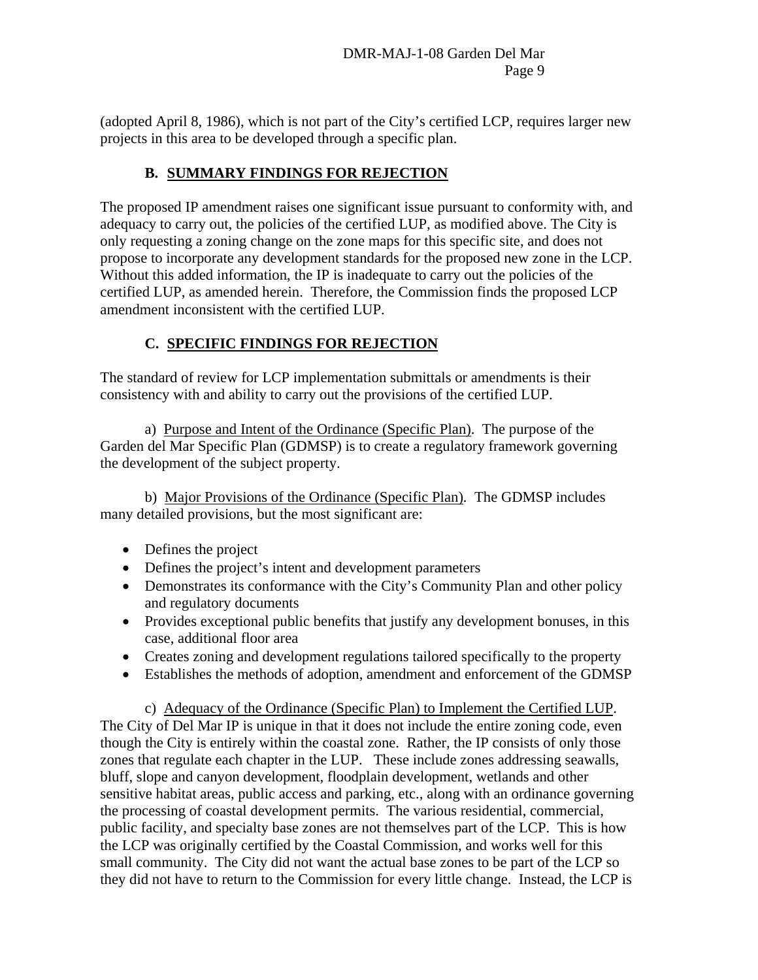(adopted April 8, 1986), which is not part of the City's certified LCP, requires larger new projects in this area to be developed through a specific plan.

## **B. SUMMARY FINDINGS FOR REJECTION**

The proposed IP amendment raises one significant issue pursuant to conformity with, and adequacy to carry out, the policies of the certified LUP, as modified above. The City is only requesting a zoning change on the zone maps for this specific site, and does not propose to incorporate any development standards for the proposed new zone in the LCP. Without this added information, the IP is inadequate to carry out the policies of the certified LUP, as amended herein. Therefore, the Commission finds the proposed LCP amendment inconsistent with the certified LUP.

# **C. SPECIFIC FINDINGS FOR REJECTION**

The standard of review for LCP implementation submittals or amendments is their consistency with and ability to carry out the provisions of the certified LUP.

 a) Purpose and Intent of the Ordinance (Specific Plan). The purpose of the Garden del Mar Specific Plan (GDMSP) is to create a regulatory framework governing the development of the subject property.

 b) Major Provisions of the Ordinance (Specific Plan). The GDMSP includes many detailed provisions, but the most significant are:

- Defines the project
- Defines the project's intent and development parameters
- Demonstrates its conformance with the City's Community Plan and other policy and regulatory documents
- Provides exceptional public benefits that justify any development bonuses, in this case, additional floor area
- Creates zoning and development regulations tailored specifically to the property
- Establishes the methods of adoption, amendment and enforcement of the GDMSP

 c) Adequacy of the Ordinance (Specific Plan) to Implement the Certified LUP. The City of Del Mar IP is unique in that it does not include the entire zoning code, even though the City is entirely within the coastal zone. Rather, the IP consists of only those zones that regulate each chapter in the LUP. These include zones addressing seawalls, bluff, slope and canyon development, floodplain development, wetlands and other sensitive habitat areas, public access and parking, etc., along with an ordinance governing the processing of coastal development permits. The various residential, commercial, public facility, and specialty base zones are not themselves part of the LCP. This is how the LCP was originally certified by the Coastal Commission, and works well for this small community. The City did not want the actual base zones to be part of the LCP so they did not have to return to the Commission for every little change. Instead, the LCP is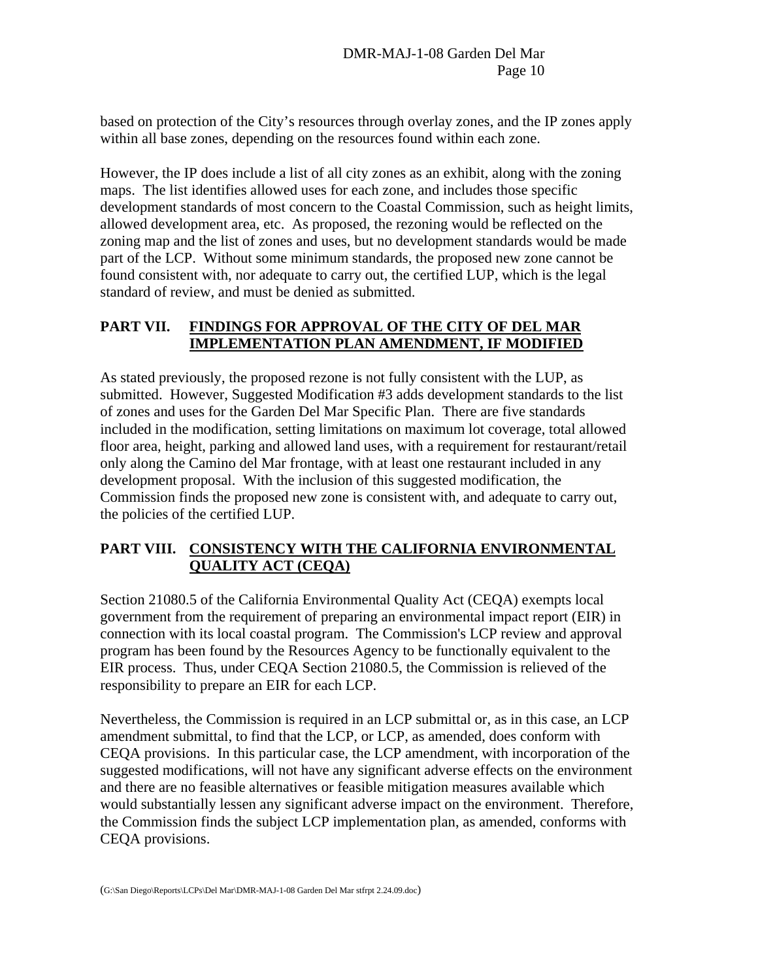based on protection of the City's resources through overlay zones, and the IP zones apply within all base zones, depending on the resources found within each zone.

However, the IP does include a list of all city zones as an exhibit, along with the zoning maps. The list identifies allowed uses for each zone, and includes those specific development standards of most concern to the Coastal Commission, such as height limits, allowed development area, etc. As proposed, the rezoning would be reflected on the zoning map and the list of zones and uses, but no development standards would be made part of the LCP. Without some minimum standards, the proposed new zone cannot be found consistent with, nor adequate to carry out, the certified LUP, which is the legal standard of review, and must be denied as submitted.

### **PART VII. FINDINGS FOR APPROVAL OF THE CITY OF DEL MAR IMPLEMENTATION PLAN AMENDMENT, IF MODIFIED**

As stated previously, the proposed rezone is not fully consistent with the LUP, as submitted. However, Suggested Modification #3 adds development standards to the list of zones and uses for the Garden Del Mar Specific Plan. There are five standards included in the modification, setting limitations on maximum lot coverage, total allowed floor area, height, parking and allowed land uses, with a requirement for restaurant/retail only along the Camino del Mar frontage, with at least one restaurant included in any development proposal. With the inclusion of this suggested modification, the Commission finds the proposed new zone is consistent with, and adequate to carry out, the policies of the certified LUP.

### **PART VIII. CONSISTENCY WITH THE CALIFORNIA ENVIRONMENTAL QUALITY ACT (CEQA)**

Section 21080.5 of the California Environmental Quality Act (CEQA) exempts local government from the requirement of preparing an environmental impact report (EIR) in connection with its local coastal program. The Commission's LCP review and approval program has been found by the Resources Agency to be functionally equivalent to the EIR process. Thus, under CEQA Section 21080.5, the Commission is relieved of the responsibility to prepare an EIR for each LCP.

Nevertheless, the Commission is required in an LCP submittal or, as in this case, an LCP amendment submittal, to find that the LCP, or LCP, as amended, does conform with CEQA provisions. In this particular case, the LCP amendment, with incorporation of the suggested modifications, will not have any significant adverse effects on the environment and there are no feasible alternatives or feasible mitigation measures available which would substantially lessen any significant adverse impact on the environment. Therefore, the Commission finds the subject LCP implementation plan, as amended, conforms with CEQA provisions.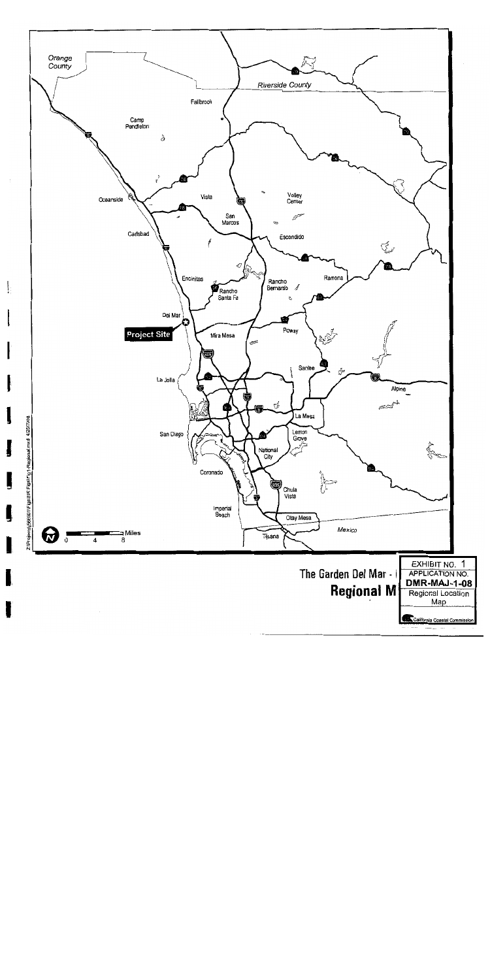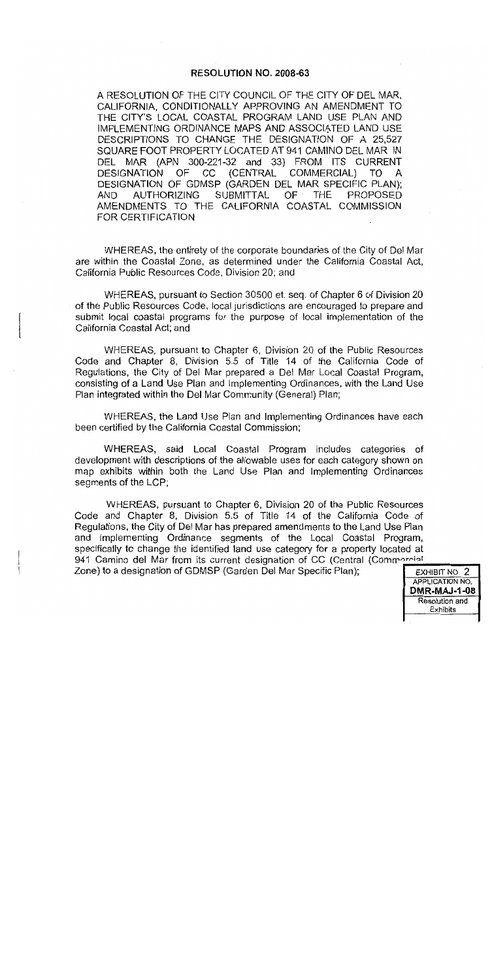#### RESOLUTION NO. 2008-63

A RESOLUTION OF THE CITY COUNCIL OF THE CITY OF DEL MAR. CALIFORNIA, CONDITIONALLY APPROVING AN AMENDMENT TO THE CITY'S LOCAL COASTAL PROGRAM LAND USE PLAN AND IMPLEMENTING ORDINANCE MAPS AND ASSOCIATED LAND USE DESCRIPTIONS TO CHANGE THE DESIGNATION OF A 25,527 SQUARE FOOT PROPERTY LOCATED AT 941 CAMINO DEL MAR IN DEL MAR (APN 300-221-32 and 33) FROM ITS CURRENT OF.  $CC$ (CENTRAL COMMERCIAL) TO **DESIGNATION** A DESIGNATION OF GDMSP (GARDEN DEL MAR SPECIFIC PLAN); **SUBMITTAL AUTHORIZING**  $OF \tTHE$ **PROPOSED AND** AMENDMENTS TO THE CALIFORNIA COASTAL COMMISSION FOR CERTIFICATION

WHEREAS, the entirety of the corporate boundaries of the City of Del Mar are within the Coastal Zone, as determined under the California Coastal Act, California Public Resources Code, Division 20; and

WHEREAS, pursuant to Section 30500 et. seq. of Chapter 6 of Division 20 of the Public Resources Code, local jurisdictions are encouraged to prepare and submit local coastal programs for the purpose of local implementation of the California Coastal Act: and

WHEREAS, pursuant to Chapter 6, Division 20 of the Public Resources Code and Chapter 8, Division 5.5 of Title 14 of the California Code of Regulations, the City of Del Mar prepared a Del Mar Local Coastal Program, consisting of a Land Use Plan and Implementing Ordinances, with the Land Use Plan integrated within the Del Mar Community (General) Plan;

WHEREAS, the Land Use Plan and Implementing Ordinances have each been certified by the California Coastal Commission;

WHEREAS, said Local Coastal Program includes categories of development with descriptions of the allowable uses for each category shown on map exhibits within both the Land Use Plan and Implementing Ordinances segments of the LCP;

WHEREAS, pursuant to Chapter 6, Division 20 of the Public Resources Code and Chapter 8, Division 5.5 of Title 14 of the California Code of Regulations, the City of Del Mar has prepared amendments to the Land Use Plan and Implementing Ordinance segments of the Local Coastal Program, specifically to change the identified land use category for a property located at 941 Camino del Mar from its current designation of CC (Central (Commercial Zone) to a designation of GDMSP (Garden Del Mar Specific Plan);

EXHIBIT NO. 2 **APPLICATION NO. DMR-MAJ-1-08** Resolution and Exhibits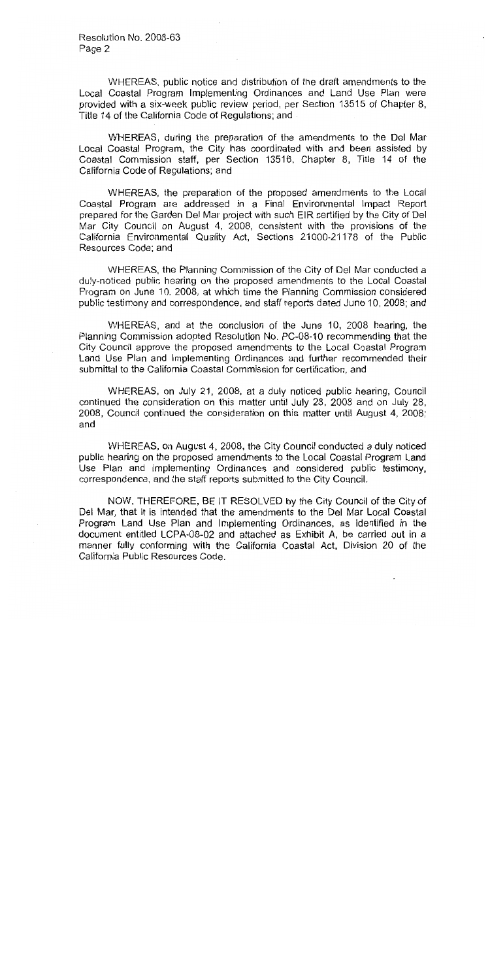WHEREAS, public notice and distribution of the draft amendments to the Local Coastal Program Implementing Ordinances and Land Use Plan were provided with a six-week public review period, per Section 13515 of Chapter 8, Title 14 of the California Code of Regulations; and

WHEREAS, during the preparation of the amendments to the Del Mar Local Coastal Program, the City has coordinated with and been assisted by Coastal Commission staff, per Section 13516, Chapter 8, Title 14 of the California Code of Regulations; and

WHEREAS, the preparation of the proposed amendments to the Local Coastal Program are addressed in a Final Environmental Impact Report prepared for the Garden Del Mar project with such EIR certified by the City of Del Mar City Council on August 4, 2008, consistent with the provisions of the California Environmental Quality Act, Sections 21000-21178 of the Public Resources Code; and

WHEREAS, the Planning Commission of the City of Del Mar conducted a duly-noticed public hearing on the proposed amendments to the Local Coastal Program on June 10, 2008, at which time the Planning Commission considered public testimony and correspondence, and staff reports dated June 10, 2008; and

WHEREAS, and at the conclusion of the June 10, 2008 hearing, the Planning Commission adopted Resolution No. PC-08-10 recommending that the City Council approve the proposed amendments to the Local Coastal Program Land Use Plan and Implementing Ordinances and further recommended their submittal to the California Coastal Commission for certification, and

WHEREAS, on July 21, 2008, at a duly noticed public hearing, Council continued the consideration on this matter until July 28, 2008 and on July 28, 2008, Council continued the consideration on this matter until August 4, 2008; and

WHEREAS, on August 4, 2008, the City Council conducted a duly noticed public hearing on the proposed amendments to the Local Coastal Program Land Use Plan and Implementing Ordinances and considered public testimony, correspondence, and the staff reports submitted to the City Council.

NOW, THEREFORE, BE IT RESOLVED by the City Council of the City of Del Mar, that it is intended that the amendments to the Del Mar Local Coastal Program Land Use Plan and Implementing Ordinances, as identified in the document entitled LCPA-08-02 and attached as Exhibit A, be carried out in a manner fully conforming with the California Coastal Act, Division 20 of the California Public Resources Code.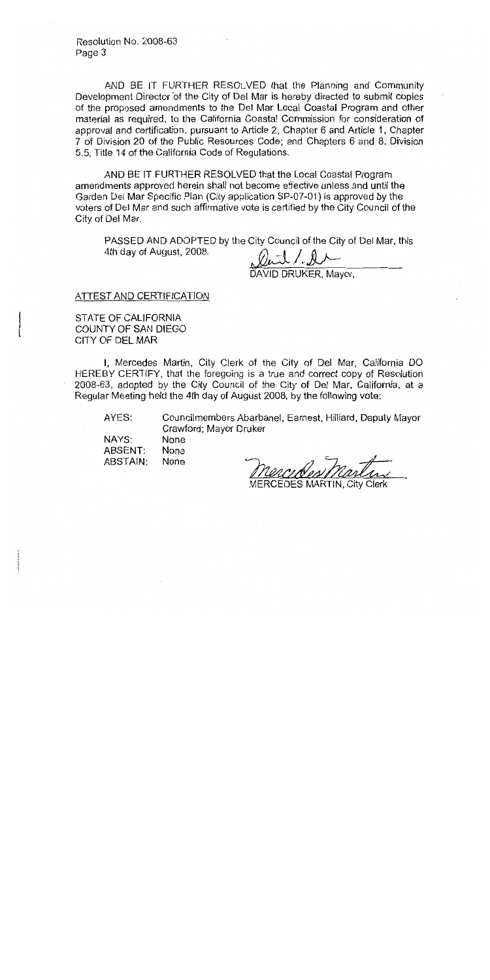Resolution No. 2008-63 Page 3

AND BE IT FURTHER RESOLVED that the Planning and Community Development Director of the City of Del Mar is hereby directed to submit copies of the proposed amendments to the Del Mar Local Coastal Program and other material as required, to the California Coastal Commission for consideration of approval and certification, pursuant to Article 2, Chapter 6 and Article 1, Chapter 7 of Division 20 of the Public Resources Code; and Chapters 6 and 8, Division 5.5, Title 14 of the California Code of Regulations.

AND BE IT FURTHER RESOLVED that the Local Coastal Program amendments approved herein shall not become effective unless and until the Garden Del Mar Specific Plan (City application SP-07-01) is approved by the voters of Del Mar and such affirmative vote is certified by the City Council of the City of Del Mar.

PASSED AND ADOPTED by the City Council of the City of Del Mar, this 4th day of August, 2008.

Duil / D<br>DAVID DRUKER, Mayor,

**ATTEST AND CERTIFICATION** 

STATE OF CALIFORNIA COUNTY OF SAN DIEGO CITY OF DEL MAR

I, Mercedes Martin, City Clerk of the City of Del Mar, California DO HEREBY CERTIFY, that the foregoing is a true and correct copy of Resolution 2008-63, adopted by the City Council of the City of Del Mar, California, at a Regular Meeting held the 4th day of August 2008, by the following vote:

AYES:

Councilmembers Abarbanel, Earnest, Hilliard, Deputy Mayor Crawford: Mayor Druker

NAYS: None ABSENT: **None** ABSTAIN: None

MERCEDES MARTIN. City Clerk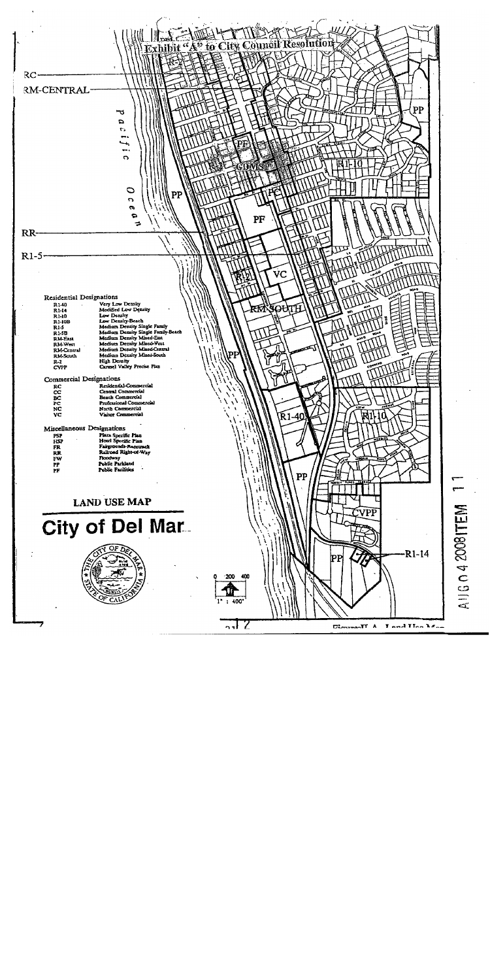

A1160420081TEM

 $\overline{ }$